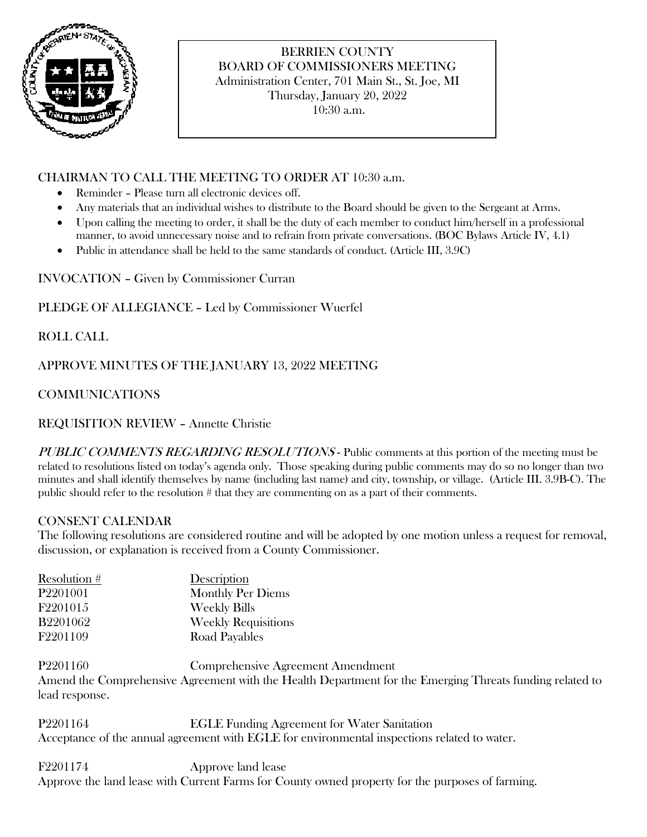

## BERRIEN COUNTY BOARD OF COMMISSIONERS MEETING Administration Center, 701 Main St., St. Joe, MI Thursday, January 20, 2022

10:30 a.m.

## CHAIRMAN TO CALL THE MEETING TO ORDER AT 10:30 a.m.

- Reminder Please turn all electronic devices off.
- Any materials that an individual wishes to distribute to the Board should be given to the Sergeant at Arms.
- Upon calling the meeting to order, it shall be the duty of each member to conduct him/herself in a professional manner, to avoid unnecessary noise and to refrain from private conversations. (BOC Bylaws Article IV, 4.1)
- Public in attendance shall be held to the same standards of conduct. (Article III, 3.9C)

INVOCATION – Given by Commissioner Curran

#### PLEDGE OF ALLEGIANCE – Led by Commissioner Wuerfel

ROLL CALL

APPROVE MINUTES OF THE JANUARY 13, 2022 MEETING

# COMMUNICATIONS

REQUISITION REVIEW – Annette Christie

PUBLIC COMMENTS REGARDING RESOLUTIONS - Public comments at this portion of the meeting must be related to resolutions listed on today's agenda only. Those speaking during public comments may do so no longer than two minutes and shall identify themselves by name (including last name) and city, township, or village. (Article III. 3.9B-C). The public should refer to the resolution # that they are commenting on as a part of their comments.

#### CONSENT CALENDAR

The following resolutions are considered routine and will be adopted by one motion unless a request for removal, discussion, or explanation is received from a County Commissioner.

| Resolution #         | Description                |
|----------------------|----------------------------|
| P <sub>2201001</sub> | <b>Monthly Per Diems</b>   |
| F2201015             | <b>Weekly Bills</b>        |
| <b>B2201062</b>      | <b>Weekly Requisitions</b> |
| F2201109             | Road Payables              |

P2201160 Comprehensive Agreement Amendment Amend the Comprehensive Agreement with the Health Department for the Emerging Threats funding related to lead response.

P2201164 EGLE Funding Agreement for Water Sanitation Acceptance of the annual agreement with EGLE for environmental inspections related to water.

F2201174 Approve land lease Approve the land lease with Current Farms for County owned property for the purposes of farming.